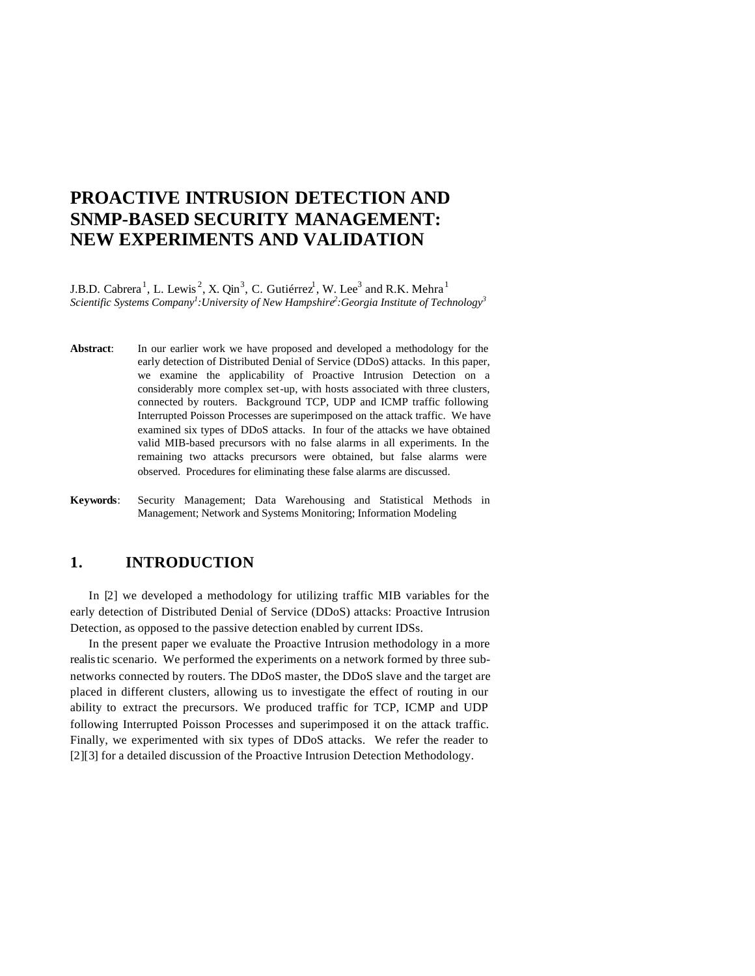# **PROACTIVE INTRUSION DETECTION AND SNMP-BASED SECURITY MANAGEMENT: NEW EXPERIMENTS AND VALIDATION**

J.B.D. Cabrera<sup>1</sup>, L. Lewis<sup>2</sup>, X. Qin<sup>3</sup>, C. Gutiérrez<sup>1</sup>, W. Lee<sup>3</sup> and R.K. Mehra<sup>1</sup> *Scientific Systems Company<sup>1</sup> :University of New Hampshire<sup>2</sup> :Georgia Institute of Technology<sup>3</sup>*

- **Abstract**: In our earlier work we have proposed and developed a methodology for the early detection of Distributed Denial of Service (DDoS) attacks. In this paper, we examine the applicability of Proactive Intrusion Detection on a considerably more complex set-up, with hosts associated with three clusters, connected by routers. Background TCP, UDP and ICMP traffic following Interrupted Poisson Processes are superimposed on the attack traffic. We have examined six types of DDoS attacks. In four of the attacks we have obtained valid MIB-based precursors with no false alarms in all experiments. In the remaining two attacks precursors were obtained, but false alarms were observed. Procedures for eliminating these false alarms are discussed.
- **Keywords**: Security Management; Data Warehousing and Statistical Methods in Management; Network and Systems Monitoring; Information Modeling

## **1. INTRODUCTION**

In [2] we developed a methodology for utilizing traffic MIB variables for the early detection of Distributed Denial of Service (DDoS) attacks: Proactive Intrusion Detection, as opposed to the passive detection enabled by current IDSs.

In the present paper we evaluate the Proactive Intrusion methodology in a more realistic scenario. We performed the experiments on a network formed by three subnetworks connected by routers. The DDoS master, the DDoS slave and the target are placed in different clusters, allowing us to investigate the effect of routing in our ability to extract the precursors. We produced traffic for TCP, ICMP and UDP following Interrupted Poisson Processes and superimposed it on the attack traffic. Finally, we experimented with six types of DDoS attacks. We refer the reader to [2][3] for a detailed discussion of the Proactive Intrusion Detection Methodology.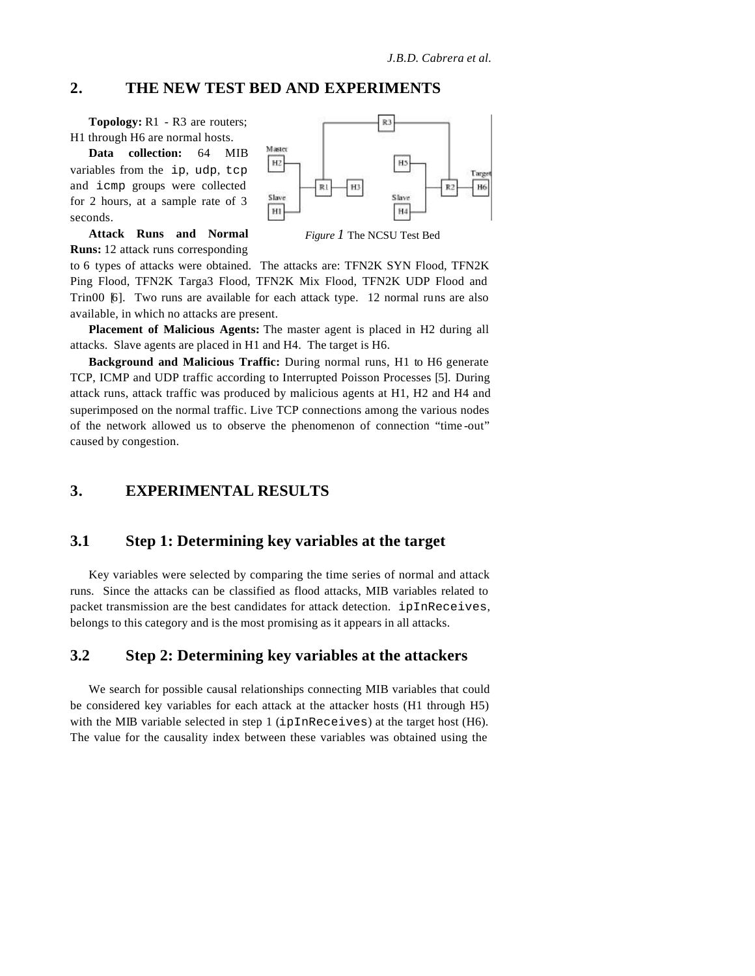# **2. THE NEW TEST BED AND EXPERIMENTS**

**Topology:** R1 - R3 are routers; H1 through H6 are normal hosts.

**Data collection:** 64 MIB variables from the ip, udp, tcp and icmp groups were collected for 2 hours, at a sample rate of 3 seconds.



**Attack Runs and Normal Runs:** 12 attack runs corresponding

*Figure 1* The NCSU Test Bed

to 6 types of attacks were obtained. The attacks are: TFN2K SYN Flood, TFN2K Ping Flood, TFN2K Targa3 Flood, TFN2K Mix Flood, TFN2K UDP Flood and Trin00 [6]. Two runs are available for each attack type. 12 normal runs are also available, in which no attacks are present.

**Placement of Malicious Agents:** The master agent is placed in H2 during all attacks. Slave agents are placed in H1 and H4. The target is H6.

**Background and Malicious Traffic:** During normal runs, H1 to H6 generate TCP, ICMP and UDP traffic according to Interrupted Poisson Processes [5]. During attack runs, attack traffic was produced by malicious agents at H1, H2 and H4 and superimposed on the normal traffic. Live TCP connections among the various nodes of the network allowed us to observe the phenomenon of connection "time -out" caused by congestion.

### **3. EXPERIMENTAL RESULTS**

### **3.1 Step 1: Determining key variables at the target**

Key variables were selected by comparing the time series of normal and attack runs. Since the attacks can be classified as flood attacks, MIB variables related to packet transmission are the best candidates for attack detection. ipInReceives, belongs to this category and is the most promising as it appears in all attacks.

### **3.2 Step 2: Determining key variables at the attackers**

We search for possible causal relationships connecting MIB variables that could be considered key variables for each attack at the attacker hosts (H1 through H5) with the MIB variable selected in step  $1$  (ipInReceives) at the target host (H6). The value for the causality index between these variables was obtained using the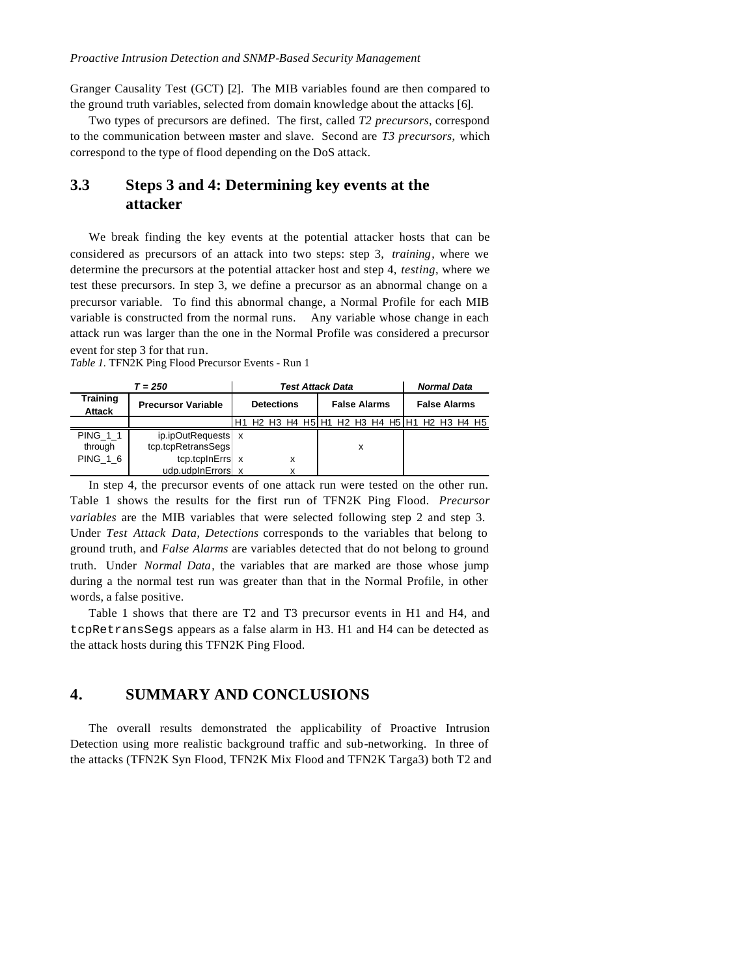#### *Proactive Intrusion Detection and SNMP-Based Security Management*

Granger Causality Test (GCT) [2]. The MIB variables found are then compared to the ground truth variables, selected from domain knowledge about the attacks [6].

Two types of precursors are defined. The first, called *T2 precursors*, correspond to the communication between master and slave. Second are *T3 precursors*, which correspond to the type of flood depending on the DoS attack.

# **3.3 Steps 3 and 4: Determining key events at the attacker**

We break finding the key events at the potential attacker hosts that can be considered as precursors of an attack into two steps: step 3, *training*, where we determine the precursors at the potential attacker host and step 4, *testing*, where we test these precursors. In step 3, we define a precursor as an abnormal change on a precursor variable. To find this abnormal change, a Normal Profile for each MIB variable is constructed from the normal runs. Any variable whose change in each attack run was larger than the one in the Normal Profile was considered a precursor event for step 3 for that run.

| $T = 250$                 |                                          |                   | <b>Test Attack Data</b> |  |   |  |                     |  |   |  |                     |  | <b>Normal Data</b> |  |  |                                              |  |
|---------------------------|------------------------------------------|-------------------|-------------------------|--|---|--|---------------------|--|---|--|---------------------|--|--------------------|--|--|----------------------------------------------|--|
| Training<br><b>Attack</b> | <b>Precursor Variable</b>                | <b>Detections</b> |                         |  |   |  | <b>False Alarms</b> |  |   |  | <b>False Alarms</b> |  |                    |  |  |                                              |  |
|                           |                                          |                   |                         |  |   |  |                     |  |   |  |                     |  |                    |  |  | H1 H2 H3 H4 H5 H1 H2 H3 H4 H5 H1 H2 H3 H4 H5 |  |
| <b>PING 11</b><br>through | ip.ipOutRequests x<br>tcp.tcpRetransSegs |                   |                         |  |   |  |                     |  | x |  |                     |  |                    |  |  |                                              |  |
| <b>PING 16</b>            | tcp.tcplnErrs x                          |                   |                         |  | x |  |                     |  |   |  |                     |  |                    |  |  |                                              |  |
|                           | udp.udplnErrors x                        |                   |                         |  |   |  |                     |  |   |  |                     |  |                    |  |  |                                              |  |

*Table 1.* TFN2K Ping Flood Precursor Events - Run 1

In step 4, the precursor events of one attack run were tested on the other run. Table 1 shows the results for the first run of TFN2K Ping Flood. *Precursor variables* are the MIB variables that were selected following step 2 and step 3. Under *Test Attack Data*, *Detections* corresponds to the variables that belong to ground truth, and *False Alarms* are variables detected that do not belong to ground truth. Under *Normal Data*, the variables that are marked are those whose jump during a the normal test run was greater than that in the Normal Profile, in other words, a false positive.

Table 1 shows that there are T2 and T3 precursor events in H1 and H4, and tcpRetransSegs appears as a false alarm in H3. H1 and H4 can be detected as the attack hosts during this TFN2K Ping Flood.

### **4. SUMMARY AND CONCLUSIONS**

The overall results demonstrated the applicability of Proactive Intrusion Detection using more realistic background traffic and sub-networking. In three of the attacks (TFN2K Syn Flood, TFN2K Mix Flood and TFN2K Targa3) both T2 and